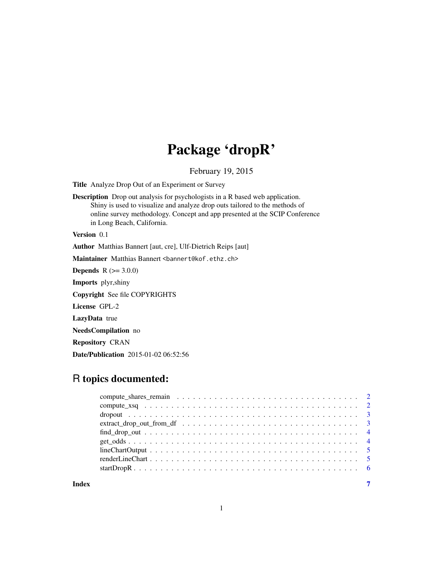## Package 'dropR'

February 19, 2015

Title Analyze Drop Out of an Experiment or Survey

Description Drop out analysis for psychologists in a R based web application. Shiny is used to visualize and analyze drop outs tailored to the methods of online survey methodology. Concept and app presented at the SCIP Conference in Long Beach, California.

Version 0.1

Author Matthias Bannert [aut, cre], Ulf-Dietrich Reips [aut]

Maintainer Matthias Bannert <br/>bannert@kof.ethz.ch>

**Depends** R  $(>= 3.0.0)$ 

Imports plyr,shiny

Copyright See file COPYRIGHTS

License GPL-2

LazyData true

NeedsCompilation no

Repository CRAN

Date/Publication 2015-01-02 06:52:56

### R topics documented:

**Index** [7](#page-6-0) **7**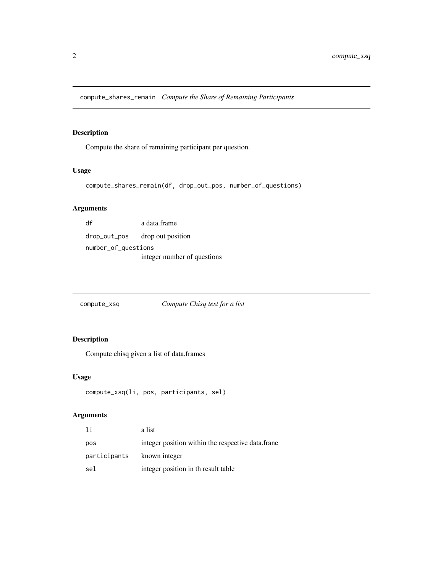<span id="page-1-0"></span>compute\_shares\_remain *Compute the Share of Remaining Participants*

#### Description

Compute the share of remaining participant per question.

#### Usage

```
compute_shares_remain(df, drop_out_pos, number_of_questions)
```
#### Arguments

| df                  | a data.frame                |
|---------------------|-----------------------------|
| drop_out_pos        | drop out position           |
| number_of_questions |                             |
|                     | integer number of questions |

compute\_xsq *Compute Chisq test for a list*

#### Description

Compute chisq given a list of data.frames

#### Usage

```
compute_xsq(li, pos, participants, sel)
```
#### Arguments

| -1 i                       | a list                                            |
|----------------------------|---------------------------------------------------|
| pos                        | integer position within the respective data.frane |
| participants known integer |                                                   |
| sel                        | integer position in the result table              |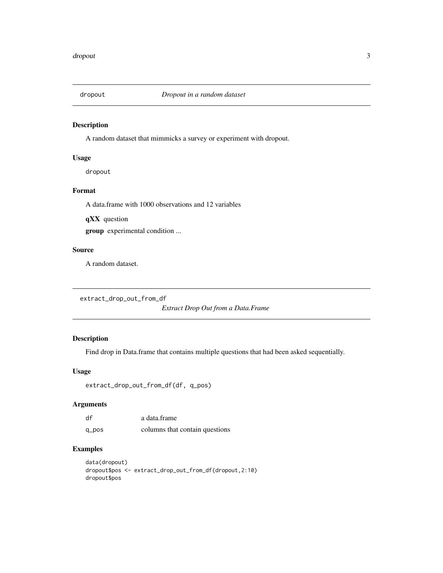<span id="page-2-0"></span>

#### Description

A random dataset that mimmicks a survey or experiment with dropout.

#### Usage

dropout

#### Format

A data.frame with 1000 observations and 12 variables

qXX question group experimental condition ...

#### Source

A random dataset.

```
extract_drop_out_from_df
```
*Extract Drop Out from a Data.Frame*

#### Description

Find drop in Data.frame that contains multiple questions that had been asked sequentially.

#### Usage

```
extract_drop_out_from_df(df, q_pos)
```
#### Arguments

| df    | a data frame                   |
|-------|--------------------------------|
| q_pos | columns that contain questions |

#### Examples

```
data(dropout)
dropout$pos <- extract_drop_out_from_df(dropout,2:10)
dropout$pos
```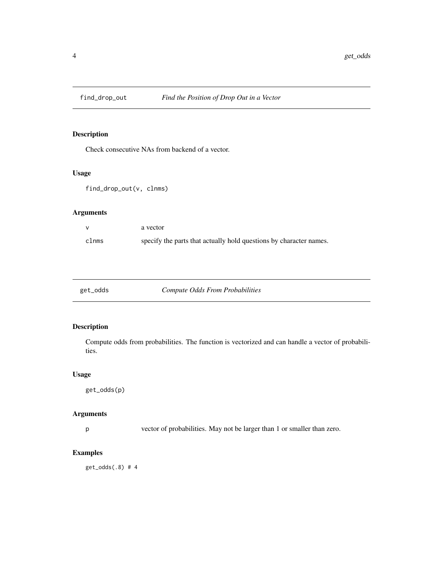<span id="page-3-0"></span>

#### Description

Check consecutive NAs from backend of a vector.

#### Usage

```
find_drop_out(v, clnms)
```
#### Arguments

|       | a vector                                                           |
|-------|--------------------------------------------------------------------|
| clnms | specify the parts that actually hold questions by character names. |

| get_odds | Compute Odds From Probabilities |
|----------|---------------------------------|
|----------|---------------------------------|

#### Description

Compute odds from probabilities. The function is vectorized and can handle a vector of probabilities.

#### Usage

```
get_odds(p)
```
#### Arguments

p vector of probabilities. May not be larger than 1 or smaller than zero.

#### Examples

get\_odds(.8) # 4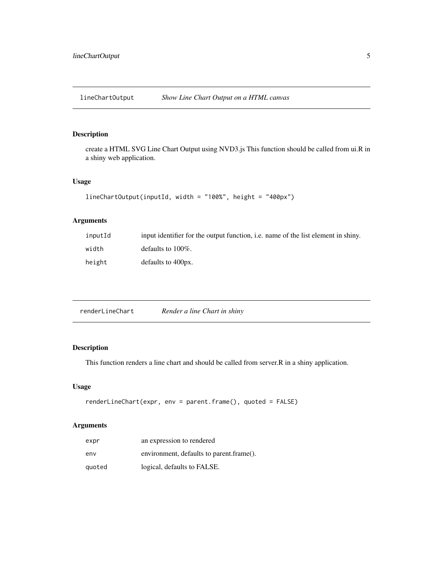<span id="page-4-0"></span>lineChartOutput *Show Line Chart Output on a HTML canvas*

#### Description

create a HTML SVG Line Chart Output using NVD3.js This function should be called from ui.R in a shiny web application.

#### Usage

```
lineChartOutput(inputId, width = "100%", height = "400px")
```
#### Arguments

| inputId | input identifier for the output function, <i>i.e.</i> name of the list element in shiny. |
|---------|------------------------------------------------------------------------------------------|
| width   | defaults to $100\%$ .                                                                    |
| height  | defaults to 400px.                                                                       |

#### Description

This function renders a line chart and should be called from server.R in a shiny application.

#### Usage

```
renderLineChart(expr, env = parent.frame(), quoted = FALSE)
```
#### Arguments

| expr   | an expression to rendered                |
|--------|------------------------------------------|
| env    | environment, defaults to parent.frame(). |
| quoted | logical, defaults to FALSE.              |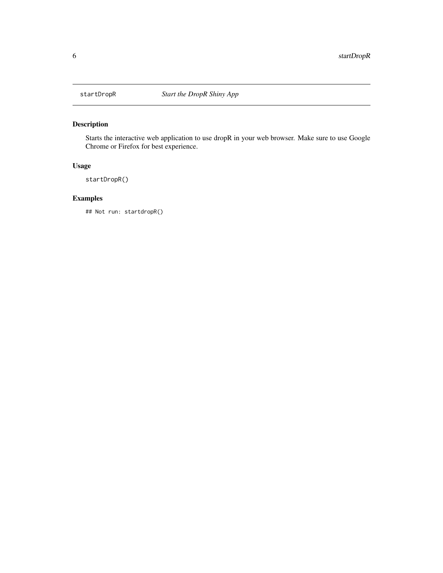<span id="page-5-0"></span>

#### Description

Starts the interactive web application to use dropR in your web browser. Make sure to use Google Chrome or Firefox for best experience.

#### Usage

startDropR()

#### Examples

## Not run: startdropR()